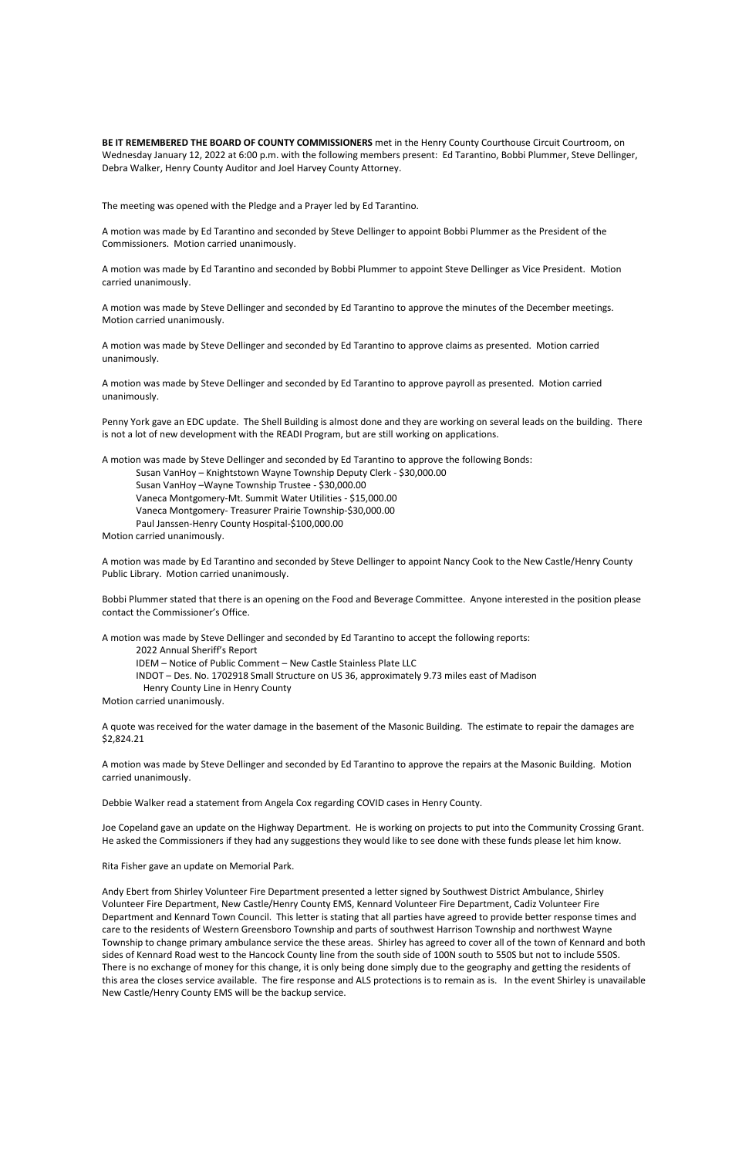**BE IT REMEMBERED THE BOARD OF COUNTY COMMISSIONERS** met in the Henry County Courthouse Circuit Courtroom, on Wednesday January 12, 2022 at 6:00 p.m. with the following members present: Ed Tarantino, Bobbi Plummer, Steve Dellinger, Debra Walker, Henry County Auditor and Joel Harvey County Attorney.

The meeting was opened with the Pledge and a Prayer led by Ed Tarantino.

A motion was made by Ed Tarantino and seconded by Steve Dellinger to appoint Bobbi Plummer as the President of the Commissioners. Motion carried unanimously.

A motion was made by Ed Tarantino and seconded by Bobbi Plummer to appoint Steve Dellinger as Vice President. Motion carried unanimously.

A motion was made by Steve Dellinger and seconded by Ed Tarantino to approve the minutes of the December meetings. Motion carried unanimously.

A motion was made by Steve Dellinger and seconded by Ed Tarantino to approve claims as presented. Motion carried unanimously.

A motion was made by Steve Dellinger and seconded by Ed Tarantino to approve payroll as presented. Motion carried unanimously.

Penny York gave an EDC update. The Shell Building is almost done and they are working on several leads on the building. There is not a lot of new development with the READI Program, but are still working on applications.

A motion was made by Steve Dellinger and seconded by Ed Tarantino to approve the following Bonds: Susan VanHoy – Knightstown Wayne Township Deputy Clerk - \$30,000.00 Susan VanHoy –Wayne Township Trustee - \$30,000.00 Vaneca Montgomery-Mt. Summit Water Utilities - \$15,000.00 Vaneca Montgomery- Treasurer Prairie Township-\$30,000.00 Paul Janssen-Henry County Hospital-\$100,000.00 Motion carried unanimously.

A motion was made by Ed Tarantino and seconded by Steve Dellinger to appoint Nancy Cook to the New Castle/Henry County Public Library. Motion carried unanimously.

Bobbi Plummer stated that there is an opening on the Food and Beverage Committee. Anyone interested in the position please contact the Commissioner's Office.

A motion was made by Steve Dellinger and seconded by Ed Tarantino to accept the following reports: 2022 Annual Sheriff's Report IDEM – Notice of Public Comment – New Castle Stainless Plate LLC INDOT – Des. No. 1702918 Small Structure on US 36, approximately 9.73 miles east of Madison Henry County Line in Henry County Motion carried unanimously.

A quote was received for the water damage in the basement of the Masonic Building. The estimate to repair the damages are \$2,824.21

A motion was made by Steve Dellinger and seconded by Ed Tarantino to approve the repairs at the Masonic Building. Motion carried unanimously.

Debbie Walker read a statement from Angela Cox regarding COVID cases in Henry County.

Joe Copeland gave an update on the Highway Department. He is working on projects to put into the Community Crossing Grant. He asked the Commissioners if they had any suggestions they would like to see done with these funds please let him know.

Rita Fisher gave an update on Memorial Park.

Andy Ebert from Shirley Volunteer Fire Department presented a letter signed by Southwest District Ambulance, Shirley Volunteer Fire Department, New Castle/Henry County EMS, Kennard Volunteer Fire Department, Cadiz Volunteer Fire Department and Kennard Town Council. This letter is stating that all parties have agreed to provide better response times and care to the residents of Western Greensboro Township and parts of southwest Harrison Township and northwest Wayne Township to change primary ambulance service the these areas. Shirley has agreed to cover all of the town of Kennard and both sides of Kennard Road west to the Hancock County line from the south side of 100N south to 550S but not to include 550S. There is no exchange of money for this change, it is only being done simply due to the geography and getting the residents of this area the closes service available. The fire response and ALS protections is to remain as is. In the event Shirley is unavailable New Castle/Henry County EMS will be the backup service.